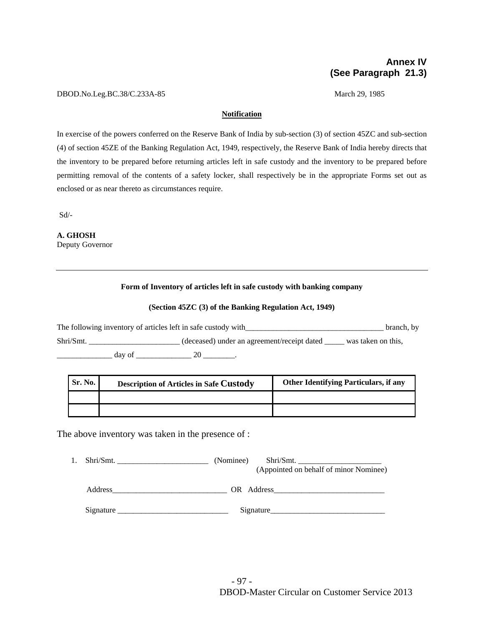# **Annex IV (See Paragraph 21.3)**

#### DBOD.No.Leg.BC.38/C.233A-85 March 29, 1985

#### **Notification**

In exercise of the powers conferred on the Reserve Bank of India by sub-section (3) of section 45ZC and sub-section (4) of section 45ZE of the Banking Regulation Act, 1949, respectively, the Reserve Bank of India hereby directs that the inventory to be prepared before returning articles left in safe custody and the inventory to be prepared before permitting removal of the contents of a safety locker, shall respectively be in the appropriate Forms set out as enclosed or as near thereto as circumstances require.

Sd/-

**A. GHOSH**  Deputy Governor

## **Form of Inventory of articles left in safe custody with banking company**

#### **(Section 45ZC (3) of the Banking Regulation Act, 1949)**

The following inventory of articles left in safe custody with\_\_\_\_\_\_\_\_\_\_\_\_\_\_\_\_\_\_\_\_\_\_\_\_\_\_\_\_\_\_\_\_\_\_\_ branch, by Shri/Smt. \_\_\_\_\_\_\_\_\_\_\_\_\_\_\_\_\_\_\_\_\_\_\_ (deceased) under an agreement/receipt dated \_\_\_\_\_\_ was taken on this,  $\frac{day \text{ of } 20 \text{ cm}}{x}$ .

| <b>Sr. No.</b> | <b>Description of Articles in Safe Custody</b> | <b>Other Identifying Particulars, if any</b> |
|----------------|------------------------------------------------|----------------------------------------------|
|                |                                                |                                              |
|                |                                                |                                              |

The above inventory was taken in the presence of :

| Shri/Smt. | (Nominee)<br>Shri/Smt.<br>(Appointed on behalf of minor Nominee) |
|-----------|------------------------------------------------------------------|
| Address   | OR Address                                                       |
| Signature | Signature                                                        |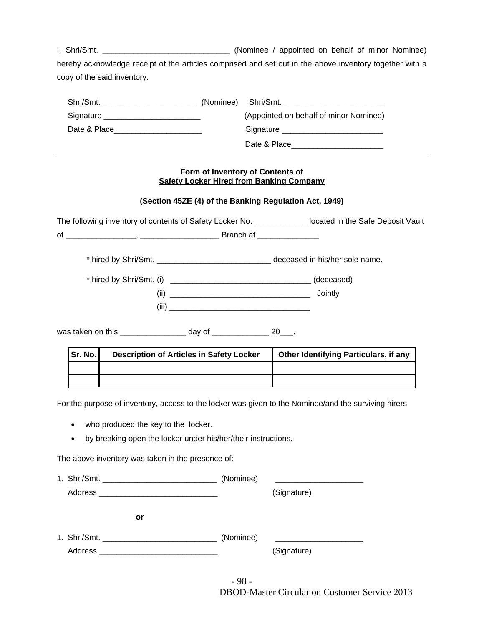I, Shri/Smt. \_\_\_\_\_\_\_\_\_\_\_\_\_\_\_\_\_\_\_\_\_\_\_\_\_\_\_\_\_ (Nominee / appointed on behalf of minor Nominee) hereby acknowledge receipt of the articles comprised and set out in the above inventory together with a copy of the said inventory.

| Shri/Smt.                                | (Nominee) Shri/Smt.                                                                                                                                                                                                            |
|------------------------------------------|--------------------------------------------------------------------------------------------------------------------------------------------------------------------------------------------------------------------------------|
| Signature ______________________________ | (Appointed on behalf of minor Nominee)                                                                                                                                                                                         |
| Date & Place                             | Signature Signature Signature Communications and Signature Communications and Signature Communications and Signature Communications and Signature Communications and Signature Communications and Signature Communications and |
|                                          | Date & Place                                                                                                                                                                                                                   |

## **Form of Inventory of Contents of Safety Locker Hired from Banking Company**

# **(Section 45ZE (4) of the Banking Regulation Act, 1949)**

The following inventory of contents of Safety Locker No. \_\_\_\_\_\_\_\_\_\_\_\_\_\_ located in the Safe Deposit Vault of \_\_\_\_\_\_\_\_\_\_\_\_\_\_\_\_, \_\_\_\_\_\_\_\_\_\_\_\_\_\_\_\_\_\_ Branch at \_\_\_\_\_\_\_\_\_\_\_\_\_\_.

\* hired by Shri/Smt. \_\_\_\_\_\_\_\_\_\_\_\_\_\_\_\_\_\_\_\_\_\_\_\_\_\_ deceased in his/her sole name.

| * hired by Shri/Smt. (i) | (deceased) |
|--------------------------|------------|
| (ii)                     | Jointly    |
| (iii)                    |            |

was taken on this example of the day of the set of the 20  $\pm$ 

| Sr. No. | <b>Description of Articles in Safety Locker</b> | <b>Other Identifying Particulars, if any</b> |  |
|---------|-------------------------------------------------|----------------------------------------------|--|
|         |                                                 |                                              |  |
|         |                                                 |                                              |  |

For the purpose of inventory, access to the locker was given to the Nominee/and the surviving hirers

- who produced the key to the locker.
- by breaking open the locker under his/her/their instructions.

The above inventory was taken in the presence of:

|         | (Nominee) |             |
|---------|-----------|-------------|
|         |           | (Signature) |
| or      |           |             |
|         | (Nominee) |             |
| Address |           | (Signature) |

- 98 - DBOD-Master Circular on Customer Service 2013